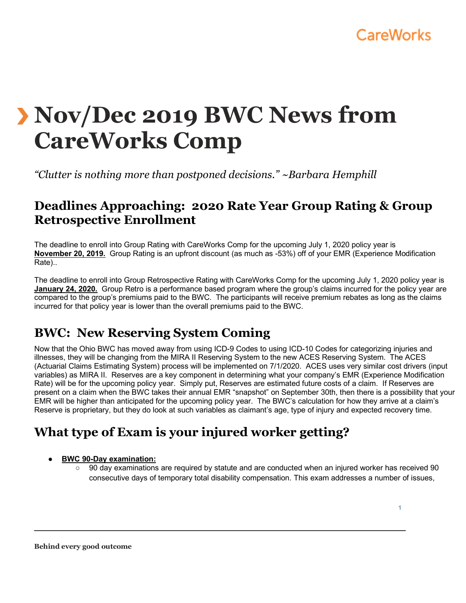# **CareWorks**

# **Nov/Dec 2019 BWC News from CareWorks Comp**

*"Clutter is nothing more than postponed decisions." ~Barbara Hemphill* 

### **Deadlines Approaching: 2020 Rate Year Group Rating & Group Retrospective Enrollment**

The deadline to enroll into Group Rating with CareWorks Comp for the upcoming July 1, 2020 policy year is **November 20, 2019.** Group Rating is an upfront discount (as much as -53%) off of your EMR (Experience Modification Rate)..

The deadline to enroll into Group Retrospective Rating with CareWorks Comp for the upcoming July 1, 2020 policy year is **January 24, 2020.** Group Retro is a performance based program where the group's claims incurred for the policy year are compared to the group's premiums paid to the BWC. The participants will receive premium rebates as long as the claims incurred for that policy year is lower than the overall premiums paid to the BWC.

# **BWC: New Reserving System Coming**

Now that the Ohio BWC has moved away from using ICD-9 Codes to using ICD-10 Codes for categorizing injuries and illnesses, they will be changing from the MIRA II Reserving System to the new ACES Reserving System. The ACES (Actuarial Claims Estimating System) process will be implemented on 7/1/2020. ACES uses very similar cost drivers (input variables) as MIRA II. Reserves are a key component in determining what your company's EMR (Experience Modification Rate) will be for the upcoming policy year. Simply put, Reserves are estimated future costs of a claim. If Reserves are present on a claim when the BWC takes their annual EMR "snapshot" on September 30th, then there is a possibility that your EMR will be higher than anticipated for the upcoming policy year. The BWC's calculation for how they arrive at a claim's Reserve is proprietary, but they do look at such variables as claimant's age, type of injury and expected recovery time.

# **What type of Exam is your injured worker getting?**

#### ● **BWC 90-Day examination:**

○ 90 day examinations are required by statute and are conducted when an injured worker has received 90 consecutive days of temporary total disability compensation. This exam addresses a number of issues,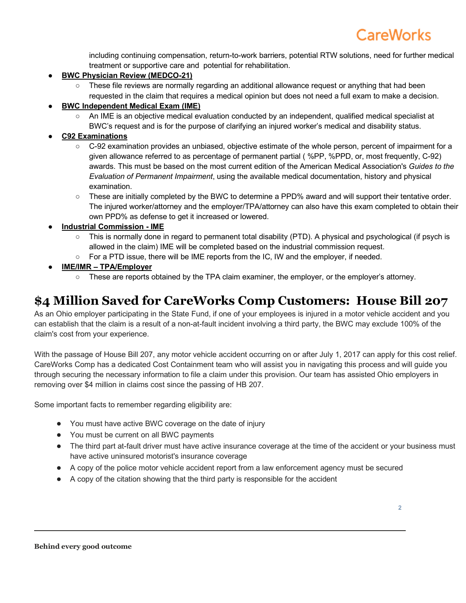including continuing compensation, return-to-work barriers, potential RTW solutions, need for further medical treatment or supportive care and potential for rehabilitation.

- **BWC Physician Review (MEDCO-21)** 
	- These file reviews are normally regarding an additional allowance request or anything that had been requested in the claim that requires a medical opinion but does not need a full exam to make a decision.
- **BWC Independent Medical Exam (IME)** 
	- An IME is an objective medical evaluation conducted by an independent, qualified medical specialist at BWC's request and is for the purpose of clarifying an injured worker's medical and disability status.
- **C92 Examinations**
	- C-92 examination provides an unbiased, objective estimate of the whole person, percent of impairment for a given allowance referred to as percentage of permanent partial ( %PP, %PPD, or, most frequently, C-92) awards. This must be based on the most current edition of the American Medical Association's *Guides to the Evaluation of Permanent Impairment*, using the available medical documentation, history and physical examination.
	- These are initially completed by the BWC to determine a PPD% award and will support their tentative order. The injured worker/attorney and the employer/TPA/attorney can also have this exam completed to obtain their own PPD% as defense to get it increased or lowered.
- **Industrial Commission - IME**
	- This is normally done in regard to permanent total disability (PTD). A physical and psychological (if psych is allowed in the claim) IME will be completed based on the industrial commission request.
	- For a PTD issue, there will be IME reports from the IC, IW and the employer, if needed.
- **IME/IMR – TPA/Employer**
	- These are reports obtained by the TPA claim examiner, the employer, or the employer's attorney.

# **\$4 Million Saved for CareWorks Comp Customers: House Bill 207**

As an Ohio employer participating in the State Fund, if one of your employees is injured in a motor vehicle accident and you can establish that the claim is a result of a non-at-fault incident involving a third party, the BWC may exclude 100% of the claim's cost from your experience.

With the passage of House Bill 207, any motor vehicle accident occurring on or after July 1, 2017 can apply for this cost relief. CareWorks Comp has a dedicated Cost Containment team who will assist you in navigating this process and will guide you through securing the necessary information to file a claim under this provision. Our team has assisted Ohio employers in removing over \$4 million in claims cost since the passing of HB 207.

Some important facts to remember regarding eligibility are:

- You must have active BWC coverage on the date of injury
- You must be current on all BWC payments
- The third part at-fault driver must have active insurance coverage at the time of the accident or your business must have active uninsured motorist's insurance coverage
- A copy of the police motor vehicle accident report from a law enforcement agency must be secured
- A copy of the citation showing that the third party is responsible for the accident